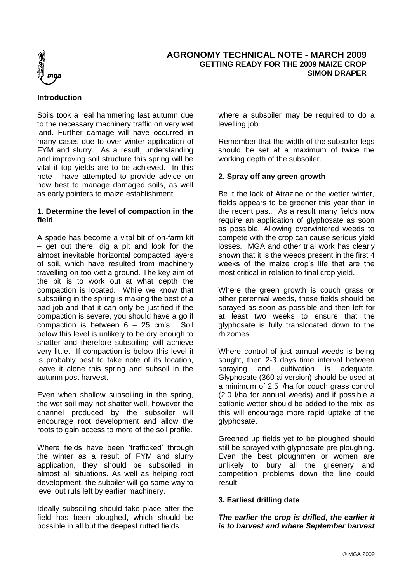

# **AGRONOMY TECHNICAL NOTE - MARCH 2009 GETTING READY FOR THE 2009 MAIZE CROP SIMON DRAPER**

## **Introduction**

Soils took a real hammering last autumn due to the necessary machinery traffic on very wet land. Further damage will have occurred in many cases due to over winter application of FYM and slurry. As a result, understanding and improving soil structure this spring will be vital if top yields are to be achieved. In this note I have attempted to provide advice on how best to manage damaged soils, as well as early pointers to maize establishment.

#### **1. Determine the level of compaction in the field**

A spade has become a vital bit of on-farm kit – get out there, dig a pit and look for the almost inevitable horizontal compacted layers of soil, which have resulted from machinery travelling on too wet a ground. The key aim of the pit is to work out at what depth the compaction is located. While we know that subsoiling in the spring is making the best of a bad job and that it can only be justified if the compaction is severe, you should have a go if compaction is between 6 – 25 cm's. Soil below this level is unlikely to be dry enough to shatter and therefore subsoiling will achieve very little. If compaction is below this level it is probably best to take note of its location, leave it alone this spring and subsoil in the autumn post harvest.

Even when shallow subsoiling in the spring, the wet soil may not shatter well, however the channel produced by the subsoiler will encourage root development and allow the roots to gain access to more of the soil profile.

Where fields have been 'trafficked' through the winter as a result of FYM and slurry application, they should be subsoiled in almost all situations. As well as helping root development, the suboiler will go some way to level out ruts left by earlier machinery.

Ideally subsoiling should take place after the field has been ploughed, which should be possible in all but the deepest rutted fields

where a subsoiler may be required to do a levelling job.

Remember that the width of the subsoiler legs should be set at a maximum of twice the working depth of the subsoiler.

# **2. Spray off any green growth**

Be it the lack of Atrazine or the wetter winter, fields appears to be greener this year than in the recent past. As a result many fields now require an application of glyphosate as soon as possible. Allowing overwintered weeds to compete with the crop can cause serious yield losses. MGA and other trial work has clearly shown that it is the weeds present in the first 4 weeks of the maize crop's life that are the most critical in relation to final crop yield.

Where the green growth is couch grass or other perennial weeds, these fields should be sprayed as soon as possible and then left for at least two weeks to ensure that the glyphosate is fully translocated down to the rhizomes.

Where control of just annual weeds is being sought, then 2-3 days time interval between spraying and cultivation is adequate. Glyphosate (360 ai version) should be used at a minimum of 2.5 l/ha for couch grass control (2.0 l/ha for annual weeds) and if possible a cationic wetter should be added to the mix, as this will encourage more rapid uptake of the glyphosate.

Greened up fields yet to be ploughed should still be sprayed with glyphosate pre ploughing. Even the best ploughmen or women are unlikely to bury all the greenery and competition problems down the line could result.

## **3. Earliest drilling date**

*The earlier the crop is drilled, the earlier it is to harvest and where September harvest*